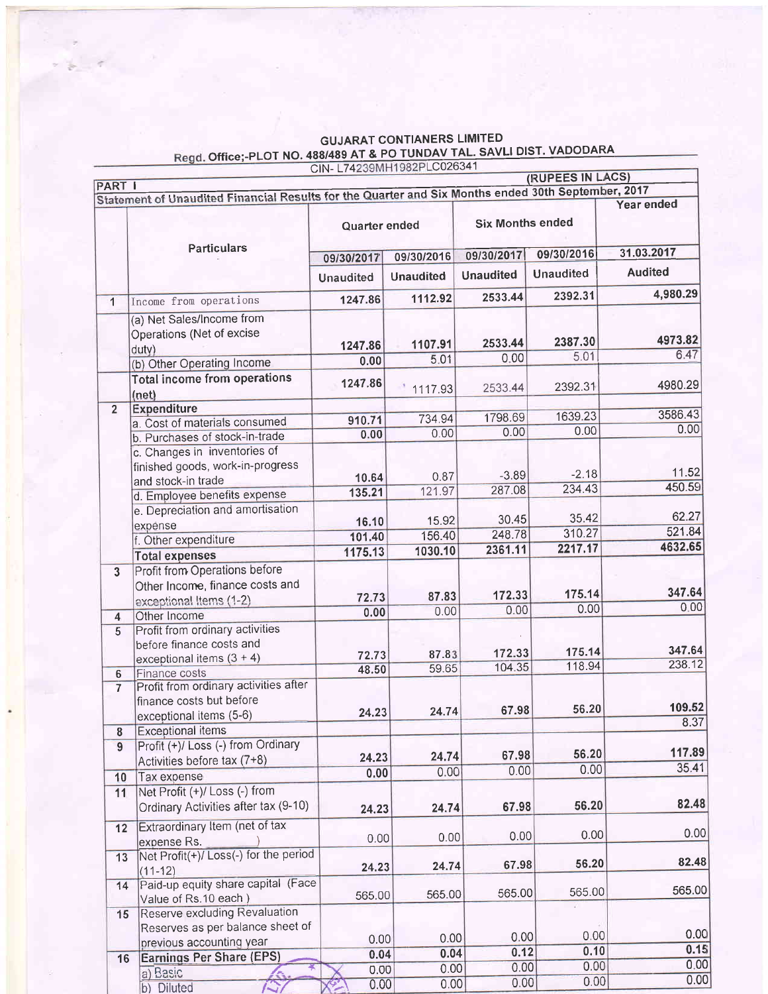|                     | (RUPEES IN LACS)<br>PART I<br>Statement of Unaudited Financial Results for the Quarter and Six Months ended 30th September, 2017 |                      |                  |                         |                  |                              |  |  |
|---------------------|----------------------------------------------------------------------------------------------------------------------------------|----------------------|------------------|-------------------------|------------------|------------------------------|--|--|
|                     |                                                                                                                                  |                      |                  |                         |                  | Year ended                   |  |  |
|                     |                                                                                                                                  | <b>Quarter ended</b> |                  | <b>Six Months ended</b> |                  |                              |  |  |
|                     | <b>Particulars</b>                                                                                                               | 09/30/2017           | 09/30/2016       | 09/30/2017              | 09/30/2016       | 31.03.2017<br><b>Audited</b> |  |  |
|                     |                                                                                                                                  | <b>Unaudited</b>     | <b>Unaudited</b> | <b>Unaudited</b>        | <b>Unaudited</b> |                              |  |  |
| $\overline{1}$      | Income from operations                                                                                                           | 1247.86              | 1112.92          | 2533.44                 | 2392.31          | 4,980.29                     |  |  |
|                     | (a) Net Sales/Income from<br>Operations (Net of excise<br>duty)                                                                  | 1247.86              | 1107.91          | 2533.44                 | 2387.30          | 4973.82<br>6.47              |  |  |
|                     | (b) Other Operating Income                                                                                                       | 0.00                 | 5.01             | 0.00                    | 5.01             |                              |  |  |
|                     | <b>Total income from operations</b><br>(net)                                                                                     | 1247.86              | 1117.93          | 2533.44                 | 2392.31          | 4980.29                      |  |  |
| 2 <sup>2</sup>      | <b>Expenditure</b>                                                                                                               |                      |                  |                         |                  |                              |  |  |
|                     | a. Cost of materials consumed                                                                                                    | 910.71               | 734.94           | 1798.69                 | 1639.23          | 3586.43<br>0.00              |  |  |
|                     | b. Purchases of stock-in-trade                                                                                                   | 0.00                 | 0.00             | 0.00                    | 0.00             |                              |  |  |
|                     | c. Changes in inventories of<br>finished goods, work-in-progress<br>and stock-in trade                                           | 10.64                | 0.87             | $-3.89$                 | $-2.18$          | 11.52                        |  |  |
|                     | d. Employee benefits expense                                                                                                     | 135.21               | 121.97           | 287.08                  | 234.43           | 450.59                       |  |  |
|                     | e. Depreciation and amortisation                                                                                                 | 16.10                | 15.92            | 30.45                   | 35.42            | 62.27                        |  |  |
|                     | expense                                                                                                                          | 101.40               | 156.40           | 248.78                  | 310.27           | 521.84                       |  |  |
|                     | f. Other expenditure                                                                                                             | 1175.13              | 1030.10          | 2361.11                 | 2217.17          | 4632.65                      |  |  |
|                     | <b>Total expenses</b>                                                                                                            |                      |                  |                         |                  |                              |  |  |
| $\overline{3}$      | Profit from Operations before<br>Other Income, finance costs and                                                                 | 72.73                | 87.83            | 172.33                  | 175.14           | 347.64                       |  |  |
|                     | exceptional Items (1-2)                                                                                                          | 0.00                 | 0.00             | 0.00                    | 0.00             | 0.00                         |  |  |
| $\overline{4}$<br>5 | Other Income<br>Profit from ordinary activities<br>before finance costs and<br>exceptional items $(3 + 4)$                       | 72.73                | 87.83            | 172.33<br>104.35        | 175.14<br>118.94 | 347.64<br>238.12             |  |  |
| 6                   | Finance costs                                                                                                                    | 48.50                | 59.65            |                         |                  |                              |  |  |
| $\overline{7}$      | Profit from ordinary activities after<br>finance costs but before<br>exceptional items (5-6)                                     | 24.23                | 24.74            | 67.98                   | 56.20            | 109.52<br>8.37               |  |  |
| $\bf 8$             | <b>Exceptional items</b>                                                                                                         |                      |                  |                         |                  |                              |  |  |
| $\overline{9}$      | Profit (+)/ Loss (-) from Ordinary<br>Activities before tax (7+8)                                                                | 24.23                | 24.74            | 67.98                   | 56.20            | 117.89<br>35.41              |  |  |
| 10                  | Tax expense                                                                                                                      | 0.00                 | 0.00             | 0.00                    | 0.00             |                              |  |  |
| 11                  | Net Profit (+)/ Loss (-) from<br>Ordinary Activities after tax (9-10)                                                            | 24.23                | 24.74            | 67.98                   | 56.20            | 82.48                        |  |  |
| 12                  | Extraordinary Item (net of tax<br>expense Rs.                                                                                    | 0.00                 | 0.00             | 0.00                    | 0.00             | 0.00                         |  |  |
| 13                  | Net Profit(+)/ Loss(-) for the period<br>$(11-12)$                                                                               | 24.23                | 24.74            | 67.98                   | 56.20            | 82.48                        |  |  |
| 14                  | Paid-up equity share capital (Face<br>Value of Rs.10 each)                                                                       | 565.00               | 565.00           | 565.00                  | 565.00           | 565.00                       |  |  |
| 15                  | Reserve excluding Revaluation<br>Reserves as per balance sheet of                                                                | 0.00                 | 0.00             | 0.00                    | 0.00             | 0.00                         |  |  |
|                     | previous accounting year                                                                                                         | 0.04                 | 0.04             | 0.12                    | 0.10             | 0.15                         |  |  |
| 16                  | <b>Earnings Per Share (EPS)</b>                                                                                                  | 0.00                 | 0.00             | 0.00                    | 0.00             | 0.00                         |  |  |
|                     | a) Basic                                                                                                                         |                      | 0.00             | 0.00                    | 0.00             | 0.00                         |  |  |
|                     | b) Diluted                                                                                                                       | 0.00                 |                  |                         |                  |                              |  |  |

# GUJARAT CONTIANERS LIMITED<br>Regd. Office;-PLOT NO. 488/489 AT & PO TUNDAV TAL. SAVLI DIST. VADODARA<br>CIN- L74239MH1982PLC026341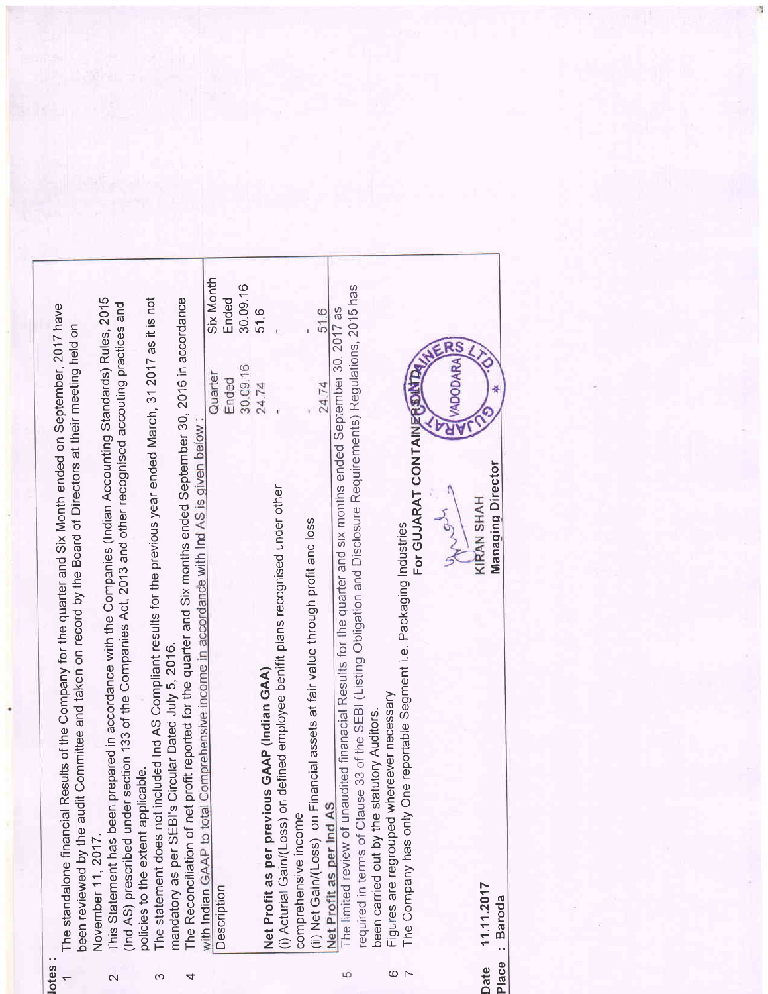| lotes:                   | Results of the Company for the quarter and Six Month ended on September, 2017 have<br>been reviewed by the audit Committee and taken on record by the Board of Directors at their meeting held on<br>The standalone financial |  |
|--------------------------|-------------------------------------------------------------------------------------------------------------------------------------------------------------------------------------------------------------------------------|--|
|                          | November 11, 2017.                                                                                                                                                                                                            |  |
| $\overline{\mathcal{C}}$ | prepared in accordance with the Companies (Indian Accounting Standards) Rules, 2015<br>This Statement has been                                                                                                                |  |
|                          | (Ind AS) prescribed under section 133 of the Companies Act, 2013 and other recognised accouting practices and<br>policies to the extent applicable                                                                            |  |
| ω                        | The statement does not included Ind AS Compliant results for the previous year ended March, 31 2017 as it is not                                                                                                              |  |
|                          | Circular Dated July 5, 2016.<br>mandatory as per SEBI's                                                                                                                                                                       |  |
| 4                        | profit reported for the quarter and Six months ended September 30, 2016 in accordance<br>Comprehensive income in accordance with Ind AS is given below :<br>with Indian GAAP to total<br>The Reconciliation of net            |  |
|                          | Six Month<br>Quarter<br>Description                                                                                                                                                                                           |  |
|                          | Ended<br>Ended                                                                                                                                                                                                                |  |
|                          | 30.09.16<br>30.09.16                                                                                                                                                                                                          |  |
|                          | 51.6<br>24.74<br>Net Profit as per previous GAAP (Indian GAA)                                                                                                                                                                 |  |
|                          | (i) Acturial Gain/(Loss) on defined employee benifit plans recognised under other                                                                                                                                             |  |
|                          | comprehensive income                                                                                                                                                                                                          |  |
|                          | inancial assets at fair value through profit and loss<br>(ii) Net Gain/(Loss) on Fi                                                                                                                                           |  |
|                          | 516<br>24.74<br>Net Profit as per Ind AS                                                                                                                                                                                      |  |
| 5                        | The limited review of unaudited finanacial Results for the quarter and six months ended September 30, 2017 as                                                                                                                 |  |
|                          | required in terms of Clause 33 of the SEBI (Listing Obligation and Disclosure Requirements) Regulations, 2015 has                                                                                                             |  |
|                          | been carried out by the statutory Auditors.                                                                                                                                                                                   |  |
| 6                        | Figures are regrouped whereever necessary                                                                                                                                                                                     |  |
| 7                        | For GUJARAT CONTAINERSINT<br>The Company has only One reportable Segment i.e. Packaging Industries                                                                                                                            |  |
|                          |                                                                                                                                                                                                                               |  |
|                          | RS<br><b>VADODARA</b><br>Я                                                                                                                                                                                                    |  |
|                          | KIRAN SHAH                                                                                                                                                                                                                    |  |
| Place<br>Date            | <b>Managing Director</b><br>11.11.2017<br>: Baroda                                                                                                                                                                            |  |

Date 11.11.2017<br>Place : Baroda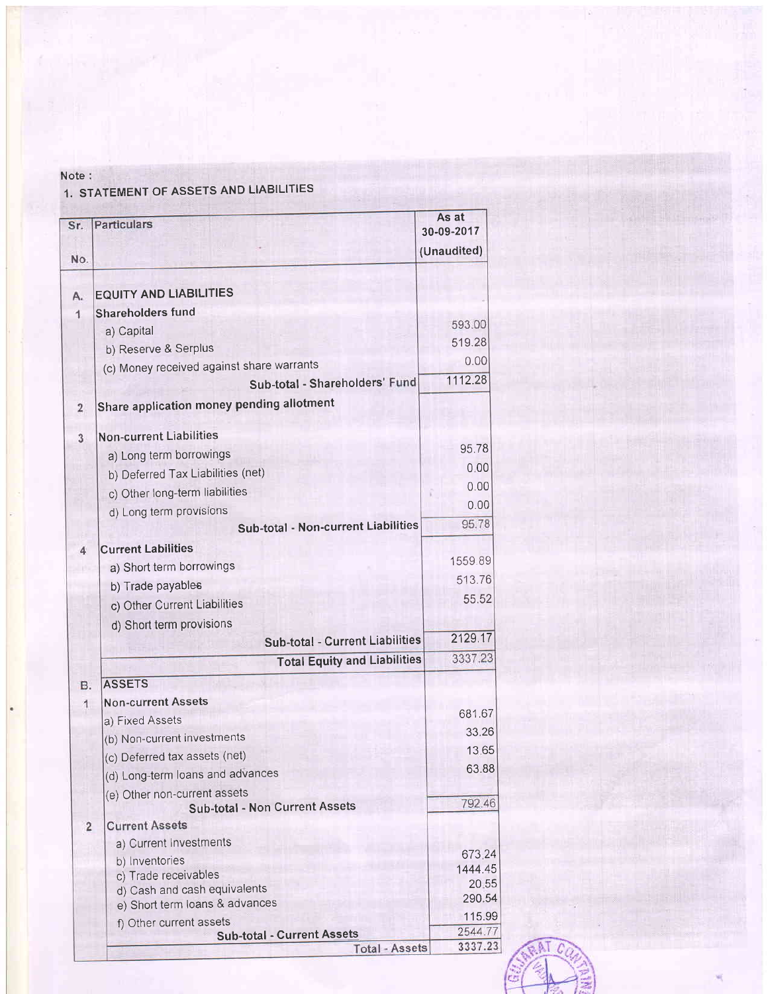## Note :

# 1. STATEMENT OF ASSETS AND LIABILITIES

| Sr.<br>No.     | Particulars                                                           | As at<br>30-09-2017<br>(Unaudited) |
|----------------|-----------------------------------------------------------------------|------------------------------------|
|                |                                                                       |                                    |
| А.             | <b>EQUITY AND LIABILITIES</b>                                         |                                    |
| 1              | <b>Shareholders fund</b>                                              |                                    |
|                | a) Capital                                                            | 593.00                             |
|                | b) Reserve & Serplus                                                  | 519.28                             |
|                | (c) Money received against share warrants                             | 0.00                               |
|                | Sub-total - Shareholders' Fund                                        | 1112.28                            |
| $\overline{2}$ | Share application money pending allotment                             |                                    |
| 3              | <b>Non-current Liabilities</b>                                        |                                    |
|                | a) Long term borrowings                                               | 95.78                              |
|                | b) Deferred Tax Liabilities (net)                                     | 0.00                               |
|                | c) Other long-term liabilities                                        | 0.00                               |
|                | d) Long term provisions                                               | 0.00                               |
|                | <b>Sub-total - Non-current Liabilities</b>                            | 95.78                              |
|                | <b>Current Labilities</b>                                             |                                    |
|                | a) Short term borrowings                                              | 1559.89                            |
|                | b) Trade payables                                                     | 513.76                             |
|                |                                                                       | 55.52                              |
|                | c) Other Current Liabilities                                          |                                    |
|                | d) Short term provisions<br>Sub-total - Current Liabilities           | 2129.17                            |
|                |                                                                       | 3337.23                            |
|                | <b>Total Equity and Liabilities</b>                                   |                                    |
| <b>B.</b>      | <b>ASSETS</b>                                                         |                                    |
| 1              | <b>Non-current Assets</b>                                             | 681.67                             |
|                | a) Fixed Assets                                                       | 33.26                              |
|                | (b) Non-current investments                                           | 13.65                              |
|                | (c) Deferred tax assets (net)                                         |                                    |
|                | (d) Long-term loans and advances                                      | 63.88                              |
|                | (e) Other non-current assets<br><b>Sub-total - Non Current Assets</b> | 792.46                             |
| $\overline{2}$ | <b>Current Assets</b>                                                 |                                    |
|                | a) Current Investments                                                |                                    |
|                | b) Inventories                                                        | 673.24                             |
|                | c) Trade receivables                                                  | 1444.45                            |
|                | d) Cash and cash equivalents                                          | 20.55                              |
|                | e) Short term loans & advances                                        | 290.54<br>115.99                   |
|                | f) Other current assets                                               | 2544.77                            |
|                | <b>Sub-total - Current Assets</b><br><b>Total - Assets</b>            | 3337.23                            |